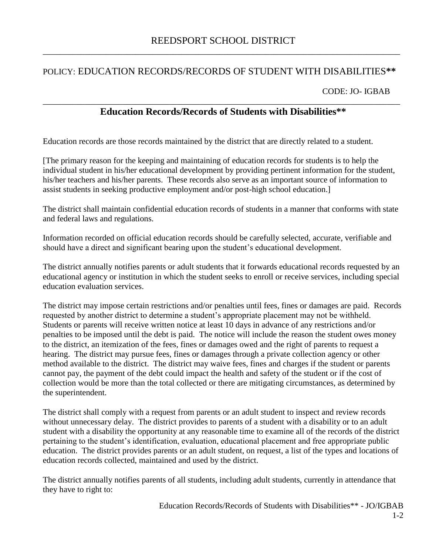## POLICY: EDUCATION RECORDS/RECORDS OF STUDENT WITH DISABILITIES**\*\***

CODE: JO- IGBAB

## \_\_\_\_\_\_\_\_\_\_\_\_\_\_\_\_\_\_\_\_\_\_\_\_\_\_\_\_\_\_\_\_\_\_\_\_\_\_\_\_\_\_\_\_\_\_\_\_\_\_\_\_\_\_\_\_\_\_\_\_\_\_\_\_\_\_\_\_\_\_\_\_\_\_\_\_\_\_\_\_\_\_\_\_\_ **Education Records/Records of Students with Disabilities\*\***

Education records are those records maintained by the district that are directly related to a student.

[The primary reason for the keeping and maintaining of education records for students is to help the individual student in his/her educational development by providing pertinent information for the student, his/her teachers and his/her parents. These records also serve as an important source of information to assist students in seeking productive employment and/or post-high school education.]

The district shall maintain confidential education records of students in a manner that conforms with state and federal laws and regulations.

Information recorded on official education records should be carefully selected, accurate, verifiable and should have a direct and significant bearing upon the student's educational development.

The district annually notifies parents or adult students that it forwards educational records requested by an educational agency or institution in which the student seeks to enroll or receive services, including special education evaluation services.

The district may impose certain restrictions and/or penalties until fees, fines or damages are paid. Records requested by another district to determine a student's appropriate placement may not be withheld. Students or parents will receive written notice at least 10 days in advance of any restrictions and/or penalties to be imposed until the debt is paid. The notice will include the reason the student owes money to the district, an itemization of the fees, fines or damages owed and the right of parents to request a hearing. The district may pursue fees, fines or damages through a private collection agency or other method available to the district. The district may waive fees, fines and charges if the student or parents cannot pay, the payment of the debt could impact the health and safety of the student or if the cost of collection would be more than the total collected or there are mitigating circumstances, as determined by the superintendent.

The district shall comply with a request from parents or an adult student to inspect and review records without unnecessary delay. The district provides to parents of a student with a disability or to an adult student with a disability the opportunity at any reasonable time to examine all of the records of the district pertaining to the student's identification, evaluation, educational placement and free appropriate public education. The district provides parents or an adult student, on request, a list of the types and locations of education records collected, maintained and used by the district.

The district annually notifies parents of all students, including adult students, currently in attendance that they have to right to: